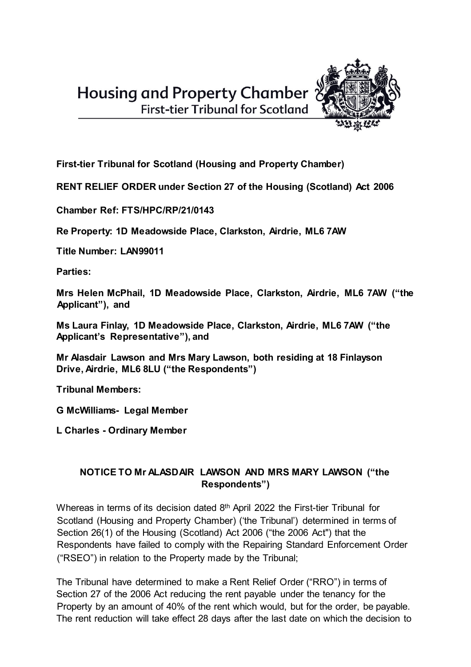

**First-tier Tribunal for Scotland (Housing and Property Chamber)** 

**RENT RELIEF ORDER under Section 27 of the Housing (Scotland) Act 2006** 

**Chamber Ref: FTS/HPC/RP/21/0143** 

**Re Property: 1D Meadowside Place, Clarkston, Airdrie, ML6 7AW** 

**Title Number: LAN99011** 

**Parties:** 

**Mrs Helen McPhail, 1D Meadowside Place, Clarkston, Airdrie, ML6 7AW ("the Applicant"), and** 

**Ms Laura Finlay, 1D Meadowside Place, Clarkston, Airdrie, ML6 7AW ("the Applicant's Representative"), and** 

**Mr Alasdair Lawson and Mrs Mary Lawson, both residing at 18 Finlayson Drive, Airdrie, ML6 8LU ("the Respondents")** 

**Tribunal Members:** 

**G McWilliams- Legal Member** 

**L Charles - Ordinary Member** 

## **NOTICE TO Mr ALASDAIR LAWSON AND MRS MARY LAWSON ("the Respondents")**

Whereas in terms of its decision dated 8th April 2022 the First-tier Tribunal for Scotland (Housing and Property Chamber) ('the Tribunal') determined in terms of Section 26(1) of the Housing (Scotland) Act 2006 ("the 2006 Act") that the Respondents have failed to comply with the Repairing Standard Enforcement Order ("RSEO") in relation to the Property made by the Tribunal;

The Tribunal have determined to make a Rent Relief Order ("RRO") in terms of Section 27 of the 2006 Act reducing the rent payable under the tenancy for the Property by an amount of 40% of the rent which would, but for the order, be payable. The rent reduction will take effect 28 days after the last date on which the decision to